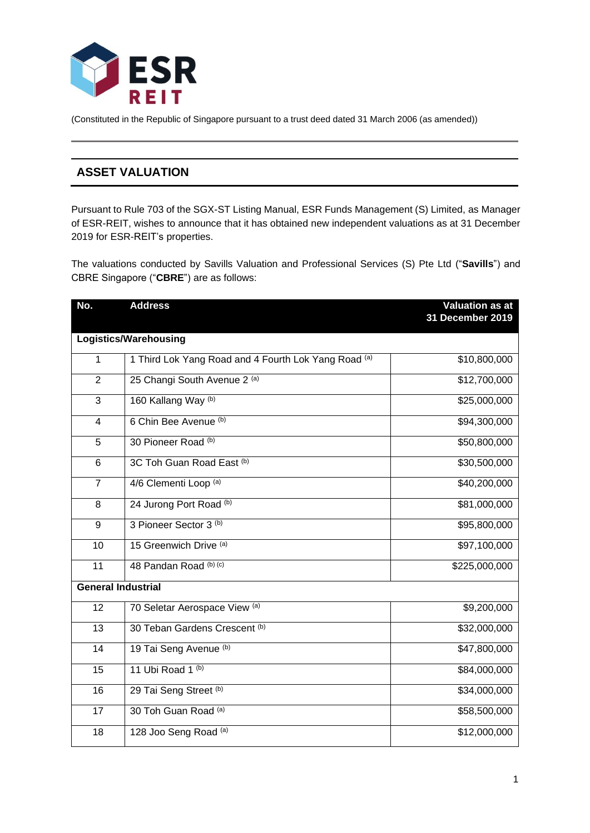

(Constituted in the Republic of Singapore pursuant to a trust deed dated 31 March 2006 (as amended))

# **ASSET VALUATION**

Pursuant to Rule 703 of the SGX-ST Listing Manual, ESR Funds Management (S) Limited, as Manager of ESR-REIT, wishes to announce that it has obtained new independent valuations as at 31 December for ESR-REIT's properties.

The valuations conducted by Savills Valuation and Professional Services (S) Pte Ltd ("**Savills**") and CBRE Singapore ("**CBRE**") are as follows:

| No.                          | <b>Address</b>                                       | <b>Valuation as at</b><br>31 December 2019 |  |  |
|------------------------------|------------------------------------------------------|--------------------------------------------|--|--|
| <b>Logistics/Warehousing</b> |                                                      |                                            |  |  |
| 1                            | 1 Third Lok Yang Road and 4 Fourth Lok Yang Road (a) | \$10,800,000                               |  |  |
| $\overline{2}$               | 25 Changi South Avenue 2 (a)                         | \$12,700,000                               |  |  |
| 3                            | 160 Kallang Way (b)                                  | \$25,000,000                               |  |  |
| $\overline{\mathbf{4}}$      | 6 Chin Bee Avenue (b)                                | \$94,300,000                               |  |  |
| 5                            | 30 Pioneer Road (b)                                  | \$50,800,000                               |  |  |
| 6                            | 3C Toh Guan Road East (b)                            | \$30,500,000                               |  |  |
| $\overline{7}$               | 4/6 Clementi Loop (a)                                | \$40,200,000                               |  |  |
| 8                            | 24 Jurong Port Road (b)                              | \$81,000,000                               |  |  |
| 9                            | 3 Pioneer Sector 3 (b)                               | \$95,800,000                               |  |  |
| 10                           | 15 Greenwich Drive (a)                               | \$97,100,000                               |  |  |
| 11                           | 48 Pandan Road (b) (c)                               | \$225,000,000                              |  |  |
| <b>General Industrial</b>    |                                                      |                                            |  |  |
| 12                           | 70 Seletar Aerospace View (a)                        | \$9,200,000                                |  |  |
| 13                           | 30 Teban Gardens Crescent (b)                        | \$32,000,000                               |  |  |
| 14                           | 19 Tai Seng Avenue (b)                               | \$47,800,000                               |  |  |
| 15                           | 11 Ubi Road 1 (b)                                    | \$84,000,000                               |  |  |
| 16                           | 29 Tai Seng Street (b)                               | \$34,000,000                               |  |  |
| 17                           | 30 Toh Guan Road (a)                                 | \$58,500,000                               |  |  |
| 18                           | 128 Joo Seng Road (a)                                | \$12,000,000                               |  |  |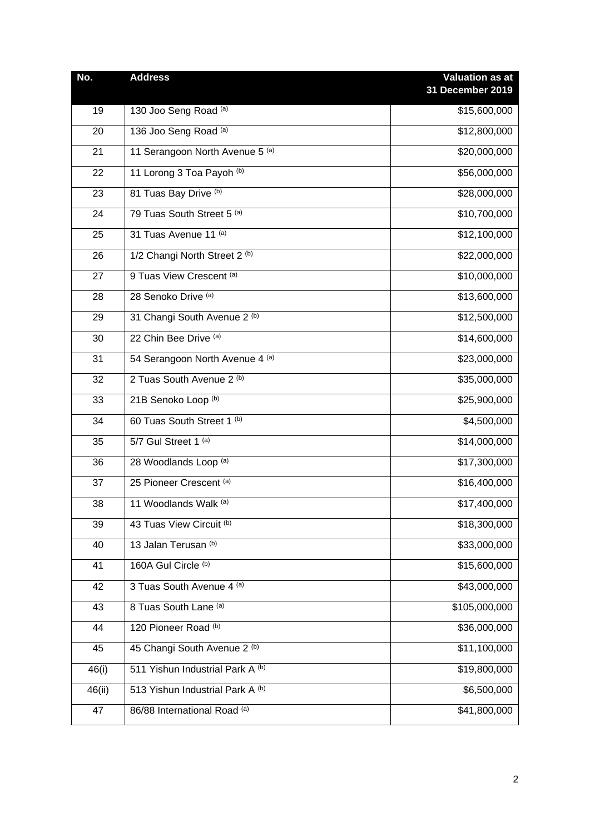| No.    | <b>Address</b>                   | <b>Valuation as at</b> |
|--------|----------------------------------|------------------------|
|        |                                  | 31 December 2019       |
| 19     | 130 Joo Seng Road (a)            | \$15,600,000           |
| 20     | 136 Joo Seng Road (a)            | \$12,800,000           |
| 21     | 11 Serangoon North Avenue 5 (a)  | \$20,000,000           |
| 22     | 11 Lorong 3 Toa Payoh (b)        | \$56,000,000           |
| 23     | 81 Tuas Bay Drive (b)            | \$28,000,000           |
| 24     | 79 Tuas South Street 5 (a)       | \$10,700,000           |
| 25     | 31 Tuas Avenue 11 (a)            | \$12,100,000           |
| 26     | 1/2 Changi North Street 2 (b)    | \$22,000,000           |
| 27     | 9 Tuas View Crescent (a)         | \$10,000,000           |
| 28     | 28 Senoko Drive (a)              | \$13,600,000           |
| 29     | 31 Changi South Avenue 2 (b)     | \$12,500,000           |
| 30     | 22 Chin Bee Drive (a)            | \$14,600,000           |
| 31     | 54 Serangoon North Avenue 4 (a)  | \$23,000,000           |
| 32     | 2 Tuas South Avenue 2 (b)        | \$35,000,000           |
| 33     | 21B Senoko Loop (b)              | \$25,900,000           |
| 34     | 60 Tuas South Street 1 (b)       | \$4,500,000            |
| 35     | 5/7 Gul Street 1 (a)             | \$14,000,000           |
| 36     | 28 Woodlands Loop (a)            | \$17,300,000           |
| 37     | 25 Pioneer Crescent (a)          | \$16,400,000           |
| 38     | 11 Woodlands Walk (a)            | \$17,400,000           |
| 39     | 43 Tuas View Circuit (b)         | \$18,300,000           |
| 40     | 13 Jalan Terusan <sup>(b)</sup>  | \$33,000,000           |
| 41     | 160A Gul Circle (b)              | \$15,600,000           |
| 42     | 3 Tuas South Avenue 4 (a)        | \$43,000,000           |
| 43     | 8 Tuas South Lane (a)            | \$105,000,000          |
| 44     | 120 Pioneer Road (b)             | \$36,000,000           |
| 45     | 45 Changi South Avenue 2 (b)     | \$11,100,000           |
| 46(i)  | 511 Yishun Industrial Park A (b) | \$19,800,000           |
| 46(ii) | 513 Yishun Industrial Park A (b) | \$6,500,000            |
| 47     | 86/88 International Road (a)     | \$41,800,000           |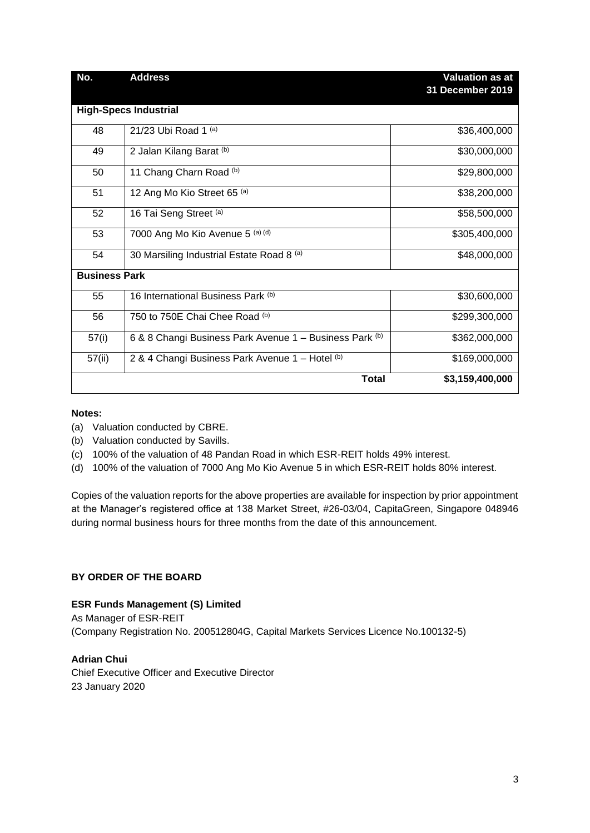| No.                          | <b>Address</b>                                          | <b>Valuation as at</b><br>31 December 2019 |  |  |
|------------------------------|---------------------------------------------------------|--------------------------------------------|--|--|
| <b>High-Specs Industrial</b> |                                                         |                                            |  |  |
| 48                           | 21/23 Ubi Road 1 (a)                                    | \$36,400,000                               |  |  |
| 49                           | 2 Jalan Kilang Barat (b)                                | \$30,000,000                               |  |  |
| 50                           | 11 Chang Charn Road (b)                                 | \$29,800,000                               |  |  |
| 51                           | 12 Ang Mo Kio Street 65 (a)                             | \$38,200,000                               |  |  |
| 52                           | 16 Tai Seng Street (a)                                  | \$58,500,000                               |  |  |
| 53                           | 7000 Ang Mo Kio Avenue 5 (a) (d)                        | \$305,400,000                              |  |  |
| 54                           | 30 Marsiling Industrial Estate Road 8 (a)               | \$48,000,000                               |  |  |
| <b>Business Park</b>         |                                                         |                                            |  |  |
| 55                           | 16 International Business Park (b)                      | \$30,600,000                               |  |  |
| 56                           | 750 to 750E Chai Chee Road (b)                          | \$299,300,000                              |  |  |
| 57(i)                        | 6 & 8 Changi Business Park Avenue 1 - Business Park (b) | \$362,000,000                              |  |  |
| 57(ii)                       | 2 & 4 Changi Business Park Avenue 1 - Hotel (b)         | \$169,000,000                              |  |  |
|                              | <b>Total</b>                                            | \$3,159,400,000                            |  |  |

#### **Notes:**

(a) Valuation conducted by CBRE.

- (b) Valuation conducted by Savills.
- (c) 100% of the valuation of 48 Pandan Road in which ESR-REIT holds 49% interest.
- (d) 100% of the valuation of 7000 Ang Mo Kio Avenue 5 in which ESR-REIT holds 80% interest.

Copies of the valuation reports for the above properties are available for inspection by prior appointment at the Manager's registered office at 138 Market Street, #26-03/04, CapitaGreen, Singapore 048946 during normal business hours for three months from the date of this announcement.

## **BY ORDER OF THE BOARD**

#### **ESR Funds Management (S) Limited**

As Manager of ESR-REIT (Company Registration No. 200512804G, Capital Markets Services Licence No.100132-5)

# **Adrian Chui**

Chief Executive Officer and Executive Director 23 January 2020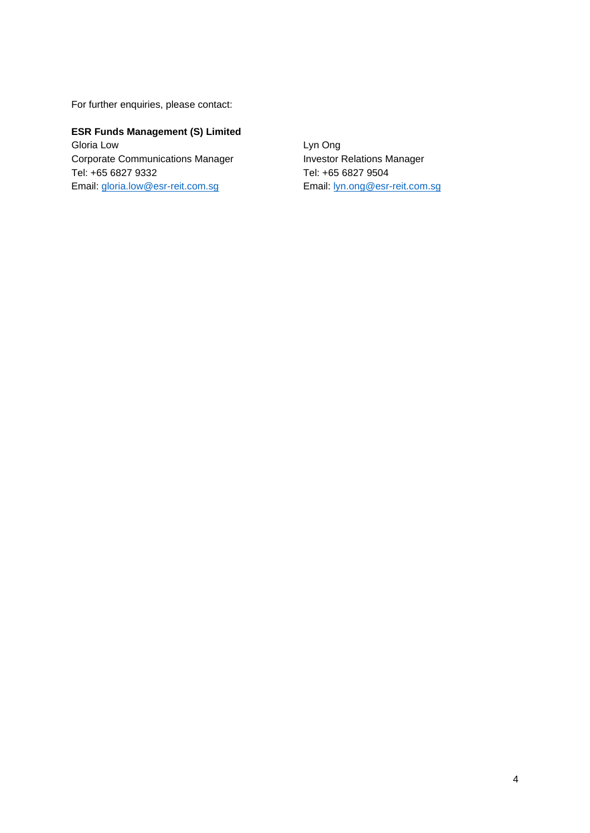For further enquiries, please contact:

**ESR Funds Management (S) Limited** Gloria Low Corporate Communications Manager Tel: +65 6827 9332 Email: [gloria.low@esr-reit.com.sg](mailto:gloria.low@esr-reit.com.sg) 

Lyn Ong Investor Relations Manager Tel: +65 6827 9504 Email: [lyn.ong@esr-reit.com.sg](mailto:lyn.ong@esr-reit.com.sg)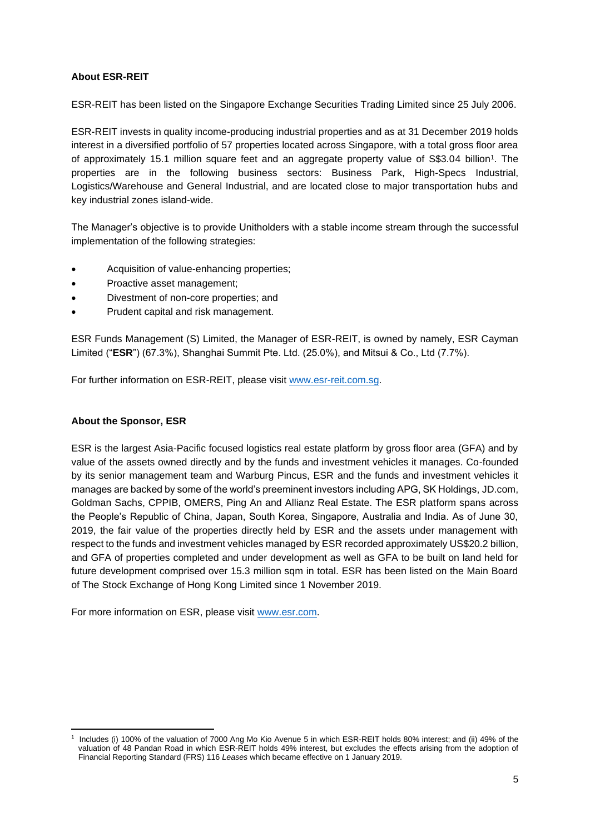# **About ESR-REIT**

ESR-REIT has been listed on the Singapore Exchange Securities Trading Limited since 25 July 2006.

ESR-REIT invests in quality income-producing industrial properties and as at 31 December 2019 holds interest in a diversified portfolio of 57 properties located across Singapore, with a total gross floor area of approximately 15.1 million square feet and an aggregate property value of S\$3.04 billion<sup>1</sup>. The properties are in the following business sectors: Business Park, High-Specs Industrial, Logistics/Warehouse and General Industrial, and are located close to major transportation hubs and key industrial zones island-wide.

The Manager's objective is to provide Unitholders with a stable income stream through the successful implementation of the following strategies:

- Acquisition of value-enhancing properties;
- Proactive asset management:
- Divestment of non-core properties; and
- Prudent capital and risk management.

ESR Funds Management (S) Limited, the Manager of ESR-REIT, is owned by namely, ESR Cayman Limited ("**ESR**") (67.3%), Shanghai Summit Pte. Ltd. (25.0%), and Mitsui & Co., Ltd (7.7%).

For further information on ESR-REIT, please visit [www.esr-reit.com.sg.](http://www.esr-reit.com.sg/)

### **About the Sponsor, ESR**

ESR is the largest Asia-Pacific focused logistics real estate platform by gross floor area (GFA) and by value of the assets owned directly and by the funds and investment vehicles it manages. Co-founded by its senior management team and Warburg Pincus, ESR and the funds and investment vehicles it manages are backed by some of the world's preeminent investors including APG, SK Holdings[, JD.com,](https://apc01.safelinks.protection.outlook.com/?url=http%3A%2F%2FJD.com&data=02%7C01%7Cgloria.low%40esr-reit.com.sg%7Cb18ed7da682643de8b7008d766916f05%7C6ed733c0622d401d8f49b2984c7d765f%7C0%7C0%7C637090647129602993&sdata=Ag8eqrD3PFV%2BcYxaRzigg4h2Mqa0vEbmE5fz7FI9M9M%3D&reserved=0) Goldman Sachs, CPPIB, OMERS, Ping An and Allianz Real Estate. The ESR platform spans across the People's Republic of China, Japan, South Korea, Singapore, Australia and India. As of June 30, 2019, the fair value of the properties directly held by ESR and the assets under management with respect to the funds and investment vehicles managed by ESR recorded approximately US\$20.2 billion, and GFA of properties completed and under development as well as GFA to be built on land held for future development comprised over 15.3 million sqm in total. ESR has been listed on the Main Board of The Stock Exchange of Hong Kong Limited since 1 November 2019.

For more information on ESR, please visit [www.esr.com.](https://apc01.safelinks.protection.outlook.com/?url=http%3A%2F%2Fwww.esr.com&data=02%7C01%7Cgloria.low%40esr-reit.com.sg%7Cb18ed7da682643de8b7008d766916f05%7C6ed733c0622d401d8f49b2984c7d765f%7C0%7C0%7C637090647129612986&sdata=hiUu8gk6thHcFkbiXEp08i9y2Ux64on2c0ivRFvmSek%3D&reserved=0)

<sup>1</sup> Includes (i) 100% of the valuation of 7000 Ang Mo Kio Avenue 5 in which ESR-REIT holds 80% interest; and (ii) 49% of the valuation of 48 Pandan Road in which ESR-REIT holds 49% interest, but excludes the effects arising from the adoption of Financial Reporting Standard (FRS) 116 *Leases* which became effective on 1 January 2019.